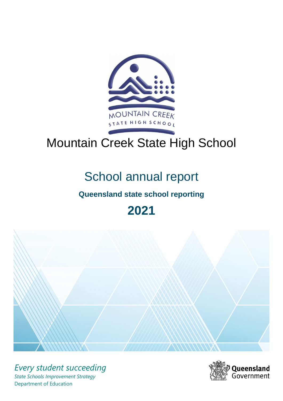

# Mountain Creek State High School

## School annual report

## **Queensland state school reporting**

**2021**



*Every student succeeding State Schools Improvement Strategy* Department of Education

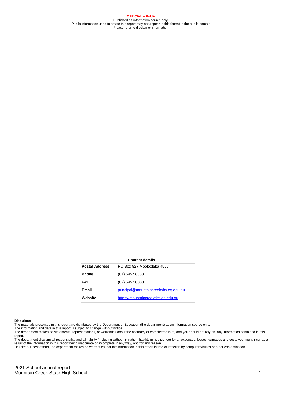**OFFICIAL – Public** Published as information source only. Public information used to create this report may not appear in this format in the public domain Please refer to disclaimer information.

#### **Contact details**

| <b>Postal Address</b> | PO Box 827 Mooloolaba 4557           |
|-----------------------|--------------------------------------|
| <b>Phone</b>          | (07) 5457 8333                       |
| Fax                   | $(07)$ 5457 8300                     |
| Email                 | principal@mountaincreekshs.eq.edu.au |
| Website               | https://mountaincreekshs.eq.edu.au   |

#### **Disclaimer**

The materials presented in this report are distributed by the Department of Education (the department) as an information source only.

The information and data in this report is subject to change without notice.<br>The department makes no statements, representations, or warranties about the accuracy or completeness of, and you should not rely on, any informa report. The department disclaim all responsibility and all liability (including without limitation, liability in negligence) for all expenses, losses, damages and costs you might incur as a

result of the information in this report being inaccurate or incomplete in any way, and for any reason.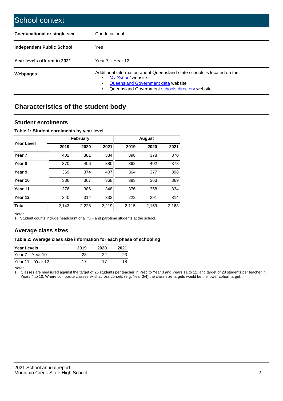| School context                     |                                                                                                                                                                                                   |
|------------------------------------|---------------------------------------------------------------------------------------------------------------------------------------------------------------------------------------------------|
| <b>Coeducational or single sex</b> | Coeducational                                                                                                                                                                                     |
| Independent Public School          | <b>Yes</b>                                                                                                                                                                                        |
| Year levels offered in 2021        | Year $7 -$ Year 12                                                                                                                                                                                |
| Webpages                           | Additional information about Queensland state schools is located on the:<br>My School website<br>٠<br>Queensland Government data website<br>Queensland Government schools directory website.<br>٠ |

## **Characteristics of the student body**

#### **Student enrolments**

#### **Table 1: Student enrolments by year level**

|                   |       | <b>February</b> |       |       | <b>August</b> |       |
|-------------------|-------|-----------------|-------|-------|---------------|-------|
| Year Level        | 2019  | 2020            | 2021  | 2019  | 2020          | 2021  |
| Year <sub>7</sub> | 402   | 381             | 384   | 398   | 378           | 370   |
| Year <sub>8</sub> | 370   | 406             | 380   | 362   | 402           | 378   |
| Year 9            | 369   | 374             | 407   | 364   | 377           | 398   |
| Year 10           | 386   | 367             | 368   | 393   | 363           | 369   |
| Year 11           | 376   | 386             | 348   | 376   | 358           | 334   |
| Year 12           | 240   | 314             | 332   | 222   | 291           | 314   |
| <b>Total</b>      | 2,143 | 2,228           | 2,219 | 2,115 | 2,169         | 2,163 |

Notes

1. Student counts include headcount of all full- and part-time students at the school.

#### **Average class sizes**

#### **Table 2: Average class size information for each phase of schooling**

| <b>Year Levels</b> | 2019 | 2020 | 2021 |
|--------------------|------|------|------|
| Year 7 – Year 10   | 23   | 22   |      |
| Year 11 – Year 12  | 17   |      |      |

Notes

1. Classes are measured against the target of 25 students per teacher in Prep to Year 3 and Years 11 to 12, and target of 28 students per teacher in Years 4 to 10. Where composite classes exist across cohorts (e.g. Year 3/4) the class size targets would be the lower cohort target.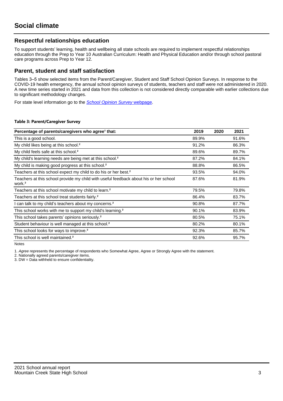#### **Respectful relationships education**

To support students' learning, health and wellbeing all state schools are required to implement respectful relationships education through the Prep to Year 10 Australian Curriculum: Health and Physical Education and/or through school pastoral care programs across Prep to Year 12.

#### **Parent, student and staff satisfaction**

Tables 3–5 show selected items from the Parent/Caregiver, Student and Staff School Opinion Surveys. In response to the COVID-19 health emergency, the annual school opinion surveys of students, teachers and staff were not administered in 2020. A new time series started in 2021 and data from this collection is not considered directly comparable with earlier collections due to significant methodology changes.

For state level information go to the **[School Opinion Survey](https://qed.qld.gov.au/publications/reports/statistics/schooling/schools/schoolopinionsurvey) webpage**.

#### **Table 3: Parent/Caregiver Survey**

| Percentage of parents/caregivers who agree <sup>1</sup> that:                                               | 2019  | 2020 | 2021  |
|-------------------------------------------------------------------------------------------------------------|-------|------|-------|
| This is a good school.                                                                                      | 89.9% |      | 91.6% |
| My child likes being at this school. <sup>2</sup>                                                           | 91.2% |      | 86.3% |
| My child feels safe at this school. <sup>2</sup>                                                            | 89.6% |      | 89.7% |
| My child's learning needs are being met at this school. <sup>2</sup>                                        | 87.2% |      | 84.1% |
| My child is making good progress at this school. <sup>2</sup>                                               | 88.8% |      | 86.5% |
| Teachers at this school expect my child to do his or her best. <sup>2</sup>                                 | 93.5% |      | 94.0% |
| Teachers at this school provide my child with useful feedback about his or her school<br>work. <sup>2</sup> | 87.6% |      | 81.9% |
| Teachers at this school motivate my child to learn. <sup>2</sup>                                            | 79.5% |      | 79.8% |
| Teachers at this school treat students fairly. <sup>2</sup>                                                 | 86.4% |      | 83.7% |
| can talk to my child's teachers about my concerns. <sup>2</sup>                                             | 90.8% |      | 87.7% |
| This school works with me to support my child's learning. <sup>2</sup>                                      | 90.1% |      | 83.9% |
| This school takes parents' opinions seriously. <sup>2</sup>                                                 | 80.5% |      | 75.1% |
| Student behaviour is well managed at this school. <sup>2</sup>                                              | 80.2% |      | 80.1% |
| This school looks for ways to improve. <sup>2</sup>                                                         | 92.3% |      | 85.7% |
| This school is well maintained. <sup>2</sup>                                                                | 92.6% |      | 95.7% |

Notes

1. Agree represents the percentage of respondents who Somewhat Agree, Agree or Strongly Agree with the statement.

2. Nationally agreed parents/caregiver items.

3. DW = Data withheld to ensure confidentiality.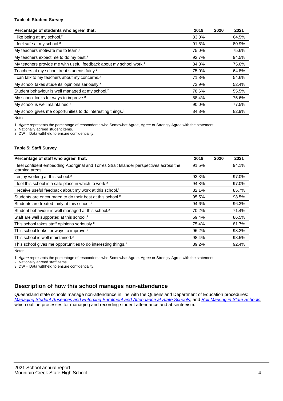#### **Table 4: Student Survey**

| Percentage of students who agree <sup>1</sup> that:                            | 2019  | 2020 | 2021  |
|--------------------------------------------------------------------------------|-------|------|-------|
| I like being at my school. <sup>2</sup>                                        | 83.0% |      | 64.5% |
| I feel safe at my school. <sup>2</sup>                                         | 91.8% |      | 80.9% |
| My teachers motivate me to learn. <sup>2</sup>                                 | 75.0% |      | 75.6% |
| My teachers expect me to do my best. <sup>2</sup>                              | 92.7% |      | 94.5% |
| My teachers provide me with useful feedback about my school work. <sup>2</sup> | 84.8% |      | 75.6% |
| Teachers at my school treat students fairly. <sup>2</sup>                      | 75.0% |      | 64.8% |
| I can talk to my teachers about my concerns. <sup>2</sup>                      | 71.8% |      | 54.6% |
| My school takes students' opinions seriously. <sup>2</sup>                     | 73.9% |      | 52.4% |
| Student behaviour is well managed at my school. <sup>2</sup>                   | 78.6% |      | 55.5% |
| My school looks for ways to improve. <sup>2</sup>                              | 88.4% |      | 75.6% |
| My school is well maintained. <sup>2</sup>                                     | 90.0% |      | 77.5% |
| My school gives me opportunities to do interesting things. <sup>2</sup>        | 84.8% |      | 82.9% |

Notes

1. Agree represents the percentage of respondents who Somewhat Agree, Agree or Strongly Agree with the statement.

2. Nationally agreed student items.

3. DW = Data withheld to ensure confidentiality.

#### **Table 5: Staff Survey**

| Percentage of staff who agree <sup>1</sup> that:                                                            | 2019  | 2020 | 2021  |
|-------------------------------------------------------------------------------------------------------------|-------|------|-------|
| I feel confident embedding Aboriginal and Torres Strait Islander perspectives across the<br>learning areas. | 91.5% |      | 94.1% |
| I enjoy working at this school. <sup>2</sup>                                                                | 93.3% |      | 97.0% |
| I feel this school is a safe place in which to work. <sup>2</sup>                                           | 94.8% |      | 97.0% |
| I receive useful feedback about my work at this school. <sup>2</sup>                                        | 82.1% |      | 85.7% |
| Students are encouraged to do their best at this school. <sup>2</sup>                                       | 95.5% |      | 98.5% |
| Students are treated fairly at this school. <sup>2</sup>                                                    | 94.6% |      | 96.3% |
| Student behaviour is well managed at this school. <sup>2</sup>                                              | 70.2% |      | 71.4% |
| Staff are well supported at this school. <sup>2</sup>                                                       | 69.4% |      | 86.5% |
| This school takes staff opinions seriously. <sup>2</sup>                                                    | 75.4% |      | 81.7% |
| This school looks for ways to improve. <sup>2</sup>                                                         | 96.2% |      | 93.2% |
| This school is well maintained. <sup>2</sup>                                                                | 98.4% |      | 98.5% |
| This school gives me opportunities to do interesting things. <sup>2</sup>                                   | 89.2% |      | 92.4% |

Notes

1. Agree represents the percentage of respondents who Somewhat Agree, Agree or Strongly Agree with the statement.

2. Nationally agreed staff items.

3. DW = Data withheld to ensure confidentiality.

#### **Description of how this school manages non-attendance**

Queensland state schools manage non-attendance in line with the Queensland Department of Education procedures: [Managing Student Absences and Enforcing Enrolment and Attendance at State Schools](https://ppr.qed.qld.gov.au/pp/managing-student-absences-and-enforcing-enrolment-and-attendance-at-state-schools-procedure); and [Roll Marking in State Schools,](https://ppr.qed.qld.gov.au/pp/roll-marking-in-state-schools-procedure) which outline processes for managing and recording student attendance and absenteeism.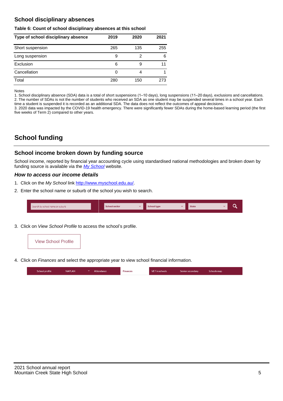#### **School disciplinary absences**

#### **Table 6: Count of school disciplinary absences at this school**

| Type of school disciplinary absence | 2019 | 2020 | 2021 |
|-------------------------------------|------|------|------|
| Short suspension                    | 265  | 135  | 255  |
| Long suspension                     | 9    | 2    | 6    |
| Exclusion                           | 6    | 9    | 11   |
| Cancellation                        | 0    | 4    |      |
| Total                               | 280  | 150  | 273  |

Notes

1. School disciplinary absence (SDA) data is a total of short suspensions (1–10 days), long suspensions (11–20 days), exclusions and cancellations. 2. The number of SDAs is not the number of students who received an SDA as one student may be suspended several times in a school year. Each time a student is suspended it is recorded as an additional SDA. The data does not reflect the outcomes of appeal decisions.

3. 2020 data was impacted by the COVID-19 health emergency. There were significantly fewer SDAs during the home-based learning period (the first five weeks of Term 2) compared to other years.

## **School funding**

#### **School income broken down by funding source**

School income, reported by financial year accounting cycle using standardised national methodologies and broken down by funding source is available via the [My School](http://www.myschool.edu.au/) website.

#### **How to access our income details**

- 1. Click on the My School link <http://www.myschool.edu.au/>.
- 2. Enter the school name or suburb of the school you wish to search.

| Search by school name or suburb | <b>School sector</b> | School type | <b>State</b> |  |
|---------------------------------|----------------------|-------------|--------------|--|
|                                 |                      |             |              |  |

3. Click on View School Profile to access the school's profile.



4. Click on Finances and select the appropriate year to view school financial information.

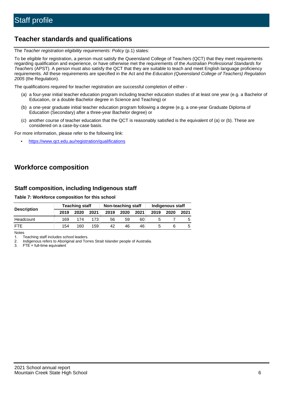## **Teacher standards and qualifications**

The Teacher registration eligibility requirements: Policy (p.1) states:

To be eligible for registration, a person must satisfy the Queensland College of Teachers (QCT) that they meet requirements regarding qualification and experience, or have otherwise met the requirements of the Australian Professional Standards for Teachers (APST). A person must also satisfy the QCT that they are suitable to teach and meet English language proficiency requirements. All these requirements are specified in the Act and the Education (Queensland College of Teachers) Regulation 2005 (the Regulation).

The qualifications required for teacher registration are successful completion of either -

- (a) a four-year initial teacher education program including teacher education studies of at least one year (e.g. a Bachelor of Education, or a double Bachelor degree in Science and Teaching) or
- (b) a one-year graduate initial teacher education program following a degree (e.g. a one-year Graduate Diploma of Education (Secondary) after a three-year Bachelor degree) or
- (c) another course of teacher education that the QCT is reasonably satisfied is the equivalent of (a) or (b). These are considered on a case-by-case basis.

For more information, please refer to the following link:

• <https://www.qct.edu.au/registration/qualifications>

### **Workforce composition**

#### **Staff composition, including Indigenous staff**

#### **Table 7: Workforce composition for this school**

|                    | <b>Teaching staff</b> |      |                  | Non-teaching staff |      |      | Indigenous staff |      |      |
|--------------------|-----------------------|------|------------------|--------------------|------|------|------------------|------|------|
| <b>Description</b> | 2019                  | 2020 | 2021             | 2019               | 2020 | 2021 | 2019             | 2020 | 2021 |
| Headcount          | 169                   | 174  | 173 <sub>1</sub> | 56                 | 59   | 60   |                  |      |      |
| <b>FTF</b>         | 154                   | 160  | 159              | 42                 | 46   | 46   |                  |      | b    |

Notes

1. Teaching staff includes school leaders.

2. Indigenous refers to Aboriginal and Torres Strait Islander people of Australia.

3. FTE = full-time equivalent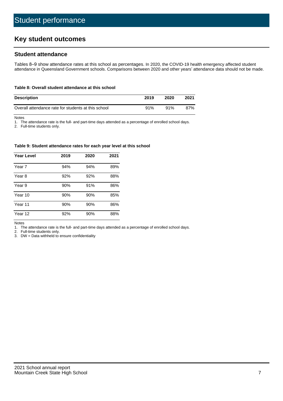## **Key student outcomes**

#### **Student attendance**

Tables 8–9 show attendance rates at this school as percentages. In 2020, the COVID-19 health emergency affected student attendance in Queensland Government schools. Comparisons between 2020 and other years' attendance data should not be made.

#### **Table 8: Overall student attendance at this school**

| <b>Description</b>                                  | 2019 | 2020 | 2021 |
|-----------------------------------------------------|------|------|------|
| Overall attendance rate for students at this school | 91%  | 91%  | 87%  |

Notes

1. The attendance rate is the full- and part-time days attended as a percentage of enrolled school days.

2. Full-time students only.

#### **Table 9: Student attendance rates for each year level at this school**

| <b>Year Level</b> | 2019 | 2020 | 2021 |
|-------------------|------|------|------|
| Year 7            | 94%  | 94%  | 89%  |
| Year 8            | 92%  | 92%  | 88%  |
| Year 9            | 90%  | 91%  | 86%  |
| Year 10           | 90%  | 90%  | 85%  |
| Year 11           | 90%  | 90%  | 86%  |
| Year 12           | 92%  | 90%  | 88%  |

Notes

1. The attendance rate is the full- and part-time days attended as a percentage of enrolled school days.

2. Full-time students only.

3. DW = Data withheld to ensure confidentiality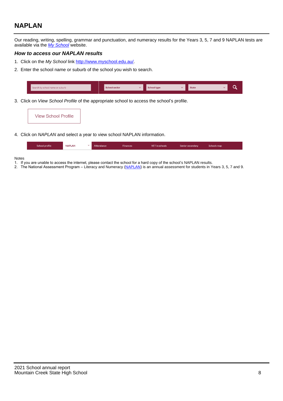## **NAPLAN**

Our reading, writing, spelling, grammar and punctuation, and numeracy results for the Years 3, 5, 7 and 9 NAPLAN tests are available via the [My School](http://www.myschool.edu.au/) website.

#### **How to access our NAPLAN results**

- 1. Click on the My School link <http://www.myschool.edu.au/>.
- 2. Enter the school name or suburb of the school you wish to search.

| Search by school name or suburb | <b>School sector</b> | <b>School type</b>                        |          | <b>State</b> |  |
|---------------------------------|----------------------|-------------------------------------------|----------|--------------|--|
|                                 |                      |                                           |          |              |  |
|                                 |                      | $\sim$ $\sim$ $\sim$ $\sim$ $\sim$ $\sim$ | $\cdots$ |              |  |

3. Click on View School Profile of the appropriate school to access the school's profile.

| <b>View School Profile</b> |
|----------------------------|
|----------------------------|

4. Click on NAPLAN and select a year to view school NAPLAN information.

|  | School profile | <b>NAPLAN</b><br>$\sim$ 1 | Attendance | <b>Finances</b> | <b>VET</b> in schools | Senior secondary | Schools map |
|--|----------------|---------------------------|------------|-----------------|-----------------------|------------------|-------------|
|--|----------------|---------------------------|------------|-----------------|-----------------------|------------------|-------------|

#### Notes

- 1. If you are unable to access the internet, please contact the school for a hard copy of the school's NAPLAN results.
- 2. The National Assessment Program Literacy and Numeracy ([NAPLAN\)](http://www.nap.edu.au/naplan) is an annual assessment for students in Years 3, 5, 7 and 9.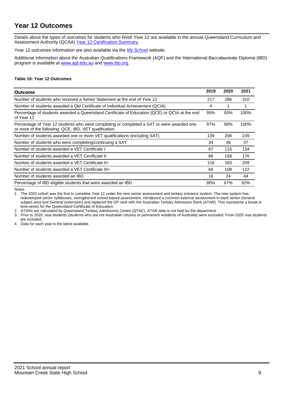## **Year 12 Outcomes**

Details about the types of outcomes for students who finish Year 12 are available in the annual Queensland Curriculum and Assessment Authority (QCAA) [Year 12 Certification Summary](https://www.qcaa.qld.edu.au/about/publications/statistics).

Year 12 outcomes information are also available via the [My School](http://www.myschool.edu.au/) website.

Additional information about the Australian Qualifications Framework (AQF) and the International Baccalaureate Diploma (IBD) program is available at [www.aqf.edu.au](https://www.aqf.edu.au/) and [www.ibo.org](https://www.ibo.org/).

#### **Table 10: Year 12 Outcomes**

| Outcome                                                                                                                                            | 2019 | 2020 | 2021 |
|----------------------------------------------------------------------------------------------------------------------------------------------------|------|------|------|
| Number of students who received a Senior Statement at the end of Year 12                                                                           | 217  | 286  | 310  |
| Number of students awarded a Qld Certificate of Individual Achievement (QCIA)                                                                      | 4    | 1    |      |
| Percentage of students awarded a Queensland Certificate of Education (QCE) or QCIA at the end<br>of Year 12                                        | 95%  | 93%  | 100% |
| Percentage of Year 12 students who were completing or completed a SAT or were awarded one<br>or more of the following: QCE, IBD, VET qualification | 97%  | 99%  | 100% |
| Number of students awarded one or more VET qualifications (including SAT)                                                                          | 139  | 206  | 239  |
| Number of students who were completing/continuing a SAT                                                                                            | 34   | 36   | 37   |
| Number of students awarded a VET Certificate I                                                                                                     | 87   | 115  | 134  |
| Number of students awarded a VET Certificate II                                                                                                    | 86   | 158  | 176  |
| Number of students awarded a VET Certificate II+                                                                                                   | 116  | 183  | 209  |
| Number of students awarded a VET Certificate III+                                                                                                  | 68   | 108  | 122  |
| Number of students awarded an IBD                                                                                                                  | 16   | 24   | 44   |
| Percentage of IBD eligible students that were awarded an IBD                                                                                       | 80%  | 67%  | 92%  |

Notes

1. The 2020 cohort was the first to complete Year 12 under the new senior assessment and tertiary entrance system. The new system has redeveloped senior syllabuses, strengthened school-based assessment, introduced a common external assessment in each senior General subject area and General (extension) and replaced the OP rank with the Australian Tertiary Admission Rank (ATAR). This represents a break in time-series for the Queensland Certificate of Education.

2. ATARs are calculated by Queensland Tertiary Admissions Centre (QTAC). ATAR data is not held by the department.

3. Prior to 2020, visa students (students who are not Australian citizens or permanent residents of Australia) were excluded. From 2020 visa students are included.

4. Data for each year is the latest available.